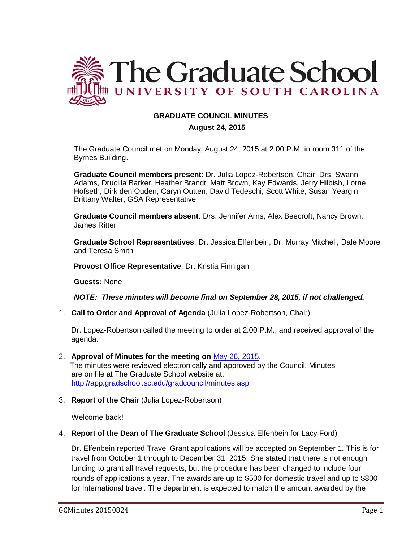

# **GRADUATE COUNCIL MINUTES**

 **August 24, 2015**

The Graduate Council met on Monday, August 24, 2015 at 2:00 P.M. in room 311 of the Byrnes Building.

**Graduate Council members present**: Dr. Julia Lopez-Robertson, Chair; Drs. Swann Adams, Drucilla Barker, Heather Brandt, Matt Brown, Kay Edwards, Jerry Hilbish, Lorne Hofseth, Dirk den Ouden, Caryn Outten, David Tedeschi, Scott White, Susan Yeargin; Brittany Walter, GSA Representative

**Graduate Council members absent**: Drs. Jennifer Arns, Alex Beecroft, Nancy Brown, James Ritter

**Graduate School Representatives**: Dr. Jessica Elfenbein, Dr. Murray Mitchell, Dale Moore and Teresa Smith

**Provost Office Representative**: Dr. Kristia Finnigan

**Guests:** None

.

*NOTE: These minutes will become final on September 28, 2015, if not challenged.*

1. **Call to Order and Approval of Agenda** (Julia Lopez-Robertson, Chair)

Dr. Lopez-Robertson called the meeting to order at 2:00 P.M., and received approval of the agenda.

- 2. **Approval of Minutes for the meeting on** [May 26, 2015.](http://gradschool.sc.edu/facstaff/gradcouncil/2014/GC%20Minutes%205%2026%2015a.pdf) The minutes were reviewed electronically and approved by the Council. Minutes are on file at The Graduate School website at: <http://app.gradschool.sc.edu/gradcouncil/minutes.asp>
- 3. **Report of the Chair** (Julia Lopez-Robertson)

Welcome back!

4. **Report of the Dean of The Graduate School** (Jessica Elfenbein for Lacy Ford)

Dr. Elfenbein reported Travel Grant applications will be accepted on September 1. This is for travel from October 1 through to December 31, 2015. She stated that there is not enough funding to grant all travel requests, but the procedure has been changed to include four rounds of applications a year. The awards are up to \$500 for domestic travel and up to \$800 for International travel. The department is expected to match the amount awarded by the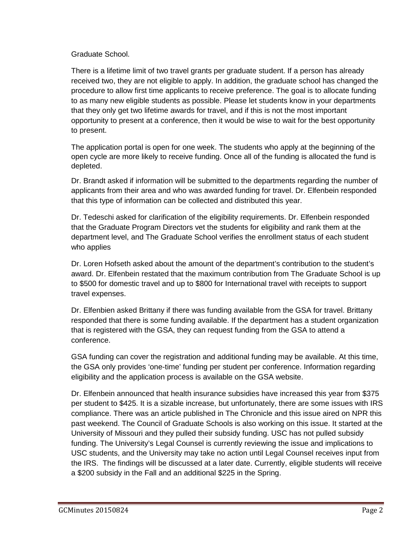## Graduate School.

There is a lifetime limit of two travel grants per graduate student. If a person has already received two, they are not eligible to apply. In addition, the graduate school has changed the procedure to allow first time applicants to receive preference. The goal is to allocate funding to as many new eligible students as possible. Please let students know in your departments that they only get two lifetime awards for travel, and if this is not the most important opportunity to present at a conference, then it would be wise to wait for the best opportunity to present.

The application portal is open for one week. The students who apply at the beginning of the open cycle are more likely to receive funding. Once all of the funding is allocated the fund is depleted.

Dr. Brandt asked if information will be submitted to the departments regarding the number of applicants from their area and who was awarded funding for travel. Dr. Elfenbein responded that this type of information can be collected and distributed this year.

Dr. Tedeschi asked for clarification of the eligibility requirements. Dr. Elfenbein responded that the Graduate Program Directors vet the students for eligibility and rank them at the department level, and The Graduate School verifies the enrollment status of each student who applies

Dr. Loren Hofseth asked about the amount of the department's contribution to the student's award. Dr. Elfenbein restated that the maximum contribution from The Graduate School is up to \$500 for domestic travel and up to \$800 for International travel with receipts to support travel expenses.

Dr. Elfenbien asked Brittany if there was funding available from the GSA for travel. Brittany responded that there is some funding available. If the department has a student organization that is registered with the GSA, they can request funding from the GSA to attend a conference.

GSA funding can cover the registration and additional funding may be available. At this time, the GSA only provides 'one-time' funding per student per conference. Information regarding eligibility and the application process is available on the GSA website.

Dr. Elfenbein announced that health insurance subsidies have increased this year from \$375 per student to \$425. It is a sizable increase, but unfortunately, there are some issues with IRS compliance. There was an article published in The Chronicle and this issue aired on NPR this past weekend. The Council of Graduate Schools is also working on this issue. It started at the University of Missouri and they pulled their subsidy funding. USC has not pulled subsidy funding. The University's Legal Counsel is currently reviewing the issue and implications to USC students, and the University may take no action until Legal Counsel receives input from the IRS. The findings will be discussed at a later date. Currently, eligible students will receive a \$200 subsidy in the Fall and an additional \$225 in the Spring.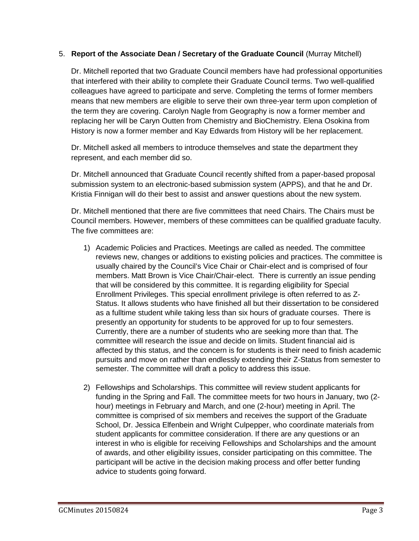## 5. **Report of the Associate Dean / Secretary of the Graduate Council** (Murray Mitchell)

Dr. Mitchell reported that two Graduate Council members have had professional opportunities that interfered with their ability to complete their Graduate Council terms. Two well-qualified colleagues have agreed to participate and serve. Completing the terms of former members means that new members are eligible to serve their own three-year term upon completion of the term they are covering. Carolyn Nagle from Geography is now a former member and replacing her will be Caryn Outten from Chemistry and BioChemistry. Elena Osokina from History is now a former member and Kay Edwards from History will be her replacement.

Dr. Mitchell asked all members to introduce themselves and state the department they represent, and each member did so.

Dr. Mitchell announced that Graduate Council recently shifted from a paper-based proposal submission system to an electronic-based submission system (APPS), and that he and Dr. Kristia Finnigan will do their best to assist and answer questions about the new system.

Dr. Mitchell mentioned that there are five committees that need Chairs. The Chairs must be Council members. However, members of these committees can be qualified graduate faculty. The five committees are:

- 1) Academic Policies and Practices. Meetings are called as needed. The committee reviews new, changes or additions to existing policies and practices. The committee is usually chaired by the Council's Vice Chair or Chair-elect and is comprised of four members. Matt Brown is Vice Chair/Chair-elect. There is currently an issue pending that will be considered by this committee. It is regarding eligibility for Special Enrollment Privileges. This special enrollment privilege is often referred to as Z-Status. It allows students who have finished all but their dissertation to be considered as a fulltime student while taking less than six hours of graduate courses. There is presently an opportunity for students to be approved for up to four semesters. Currently, there are a number of students who are seeking more than that. The committee will research the issue and decide on limits. Student financial aid is affected by this status, and the concern is for students is their need to finish academic pursuits and move on rather than endlessly extending their Z-Status from semester to semester. The committee will draft a policy to address this issue.
- 2) Fellowships and Scholarships. This committee will review student applicants for funding in the Spring and Fall. The committee meets for two hours in January, two (2 hour) meetings in February and March, and one (2-hour) meeting in April. The committee is comprised of six members and receives the support of the Graduate School, Dr. Jessica Elfenbein and Wright Culpepper, who coordinate materials from student applicants for committee consideration. If there are any questions or an interest in who is eligible for receiving Fellowships and Scholarships and the amount of awards, and other eligibility issues, consider participating on this committee. The participant will be active in the decision making process and offer better funding advice to students going forward.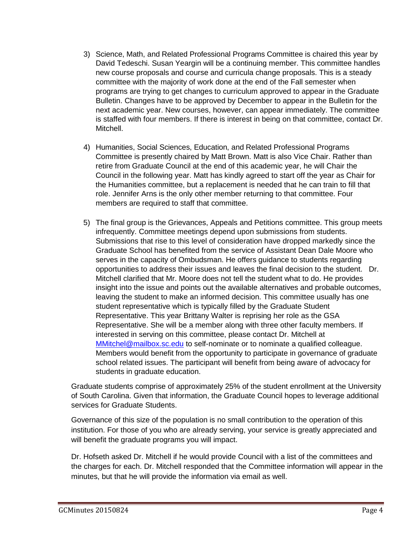- 3) Science, Math, and Related Professional Programs Committee is chaired this year by David Tedeschi. Susan Yeargin will be a continuing member. This committee handles new course proposals and course and curricula change proposals. This is a steady committee with the majority of work done at the end of the Fall semester when programs are trying to get changes to curriculum approved to appear in the Graduate Bulletin. Changes have to be approved by December to appear in the Bulletin for the next academic year. New courses, however, can appear immediately. The committee is staffed with four members. If there is interest in being on that committee, contact Dr. Mitchell.
- 4) Humanities, Social Sciences, Education, and Related Professional Programs Committee is presently chaired by Matt Brown. Matt is also Vice Chair. Rather than retire from Graduate Council at the end of this academic year, he will Chair the Council in the following year. Matt has kindly agreed to start off the year as Chair for the Humanities committee, but a replacement is needed that he can train to fill that role. Jennifer Arns is the only other member returning to that committee. Four members are required to staff that committee.
- 5) The final group is the Grievances, Appeals and Petitions committee. This group meets infrequently. Committee meetings depend upon submissions from students. Submissions that rise to this level of consideration have dropped markedly since the Graduate School has benefited from the service of Assistant Dean Dale Moore who serves in the capacity of Ombudsman. He offers guidance to students regarding opportunities to address their issues and leaves the final decision to the student. Dr. Mitchell clarified that Mr. Moore does not tell the student what to do. He provides insight into the issue and points out the available alternatives and probable outcomes, leaving the student to make an informed decision. This committee usually has one student representative which is typically filled by the Graduate Student Representative. This year Brittany Walter is reprising her role as the GSA Representative. She will be a member along with three other faculty members. If interested in serving on this committee, please contact Dr. Mitchell at [MMitchel@mailbox.sc.edu](mailto:MMitchel@mailbox.sc.edu) to self-nominate or to nominate a qualified colleague. Members would benefit from the opportunity to participate in governance of graduate school related issues. The participant will benefit from being aware of advocacy for students in graduate education.

Graduate students comprise of approximately 25% of the student enrollment at the University of South Carolina. Given that information, the Graduate Council hopes to leverage additional services for Graduate Students.

Governance of this size of the population is no small contribution to the operation of this institution. For those of you who are already serving, your service is greatly appreciated and will benefit the graduate programs you will impact.

Dr. Hofseth asked Dr. Mitchell if he would provide Council with a list of the committees and the charges for each. Dr. Mitchell responded that the Committee information will appear in the minutes, but that he will provide the information via email as well.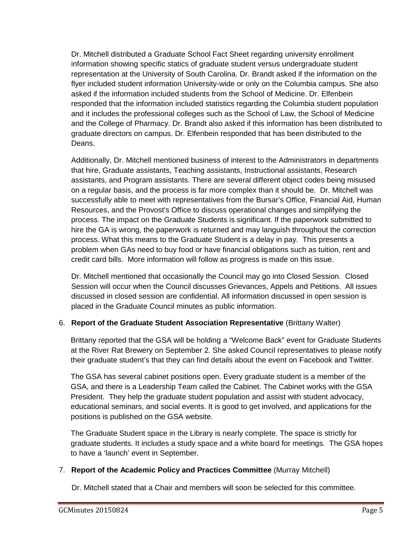Dr. Mitchell distributed a Graduate School Fact Sheet regarding university enrollment information showing specific statics of graduate student versus undergraduate student representation at the University of South Carolina. Dr. Brandt asked if the information on the flyer included student information University-wide or only on the Columbia campus. She also asked if the information included students from the School of Medicine. Dr. Elfenbein responded that the information included statistics regarding the Columbia student population and it includes the professional colleges such as the School of Law, the School of Medicine and the College of Pharmacy. Dr. Brandt also asked if this information has been distributed to graduate directors on campus. Dr. Elfenbein responded that has been distributed to the Deans.

Additionally, Dr. Mitchell mentioned business of interest to the Administrators in departments that hire, Graduate assistants, Teaching assistants, Instructional assistants, Research assistants, and Program assistants. There are several different object codes being misused on a regular basis, and the process is far more complex than it should be. Dr. Mitchell was successfully able to meet with representatives from the Bursar's Office, Financial Aid, Human Resources, and the Provost's Office to discuss operational changes and simplifying the process. The impact on the Graduate Students is significant. If the paperwork submitted to hire the GA is wrong, the paperwork is returned and may languish throughout the correction process. What this means to the Graduate Student is a delay in pay. This presents a problem when GAs need to buy food or have financial obligations such as tuition, rent and credit card bills. More information will follow as progress is made on this issue.

Dr. Mitchell mentioned that occasionally the Council may go into Closed Session. Closed Session will occur when the Council discusses Grievances, Appels and Petitions. All issues discussed in closed session are confidential. All information discussed in open session is placed in the Graduate Council minutes as public information.

# 6. **Report of the Graduate Student Association Representative** (Brittany Walter)

Brittany reported that the GSA will be holding a "Welcome Back" event for Graduate Students at the River Rat Brewery on September 2. She asked Council representatives to please notify their graduate student's that they can find details about the event on Facebook and Twitter.

The GSA has several cabinet positions open. Every graduate student is a member of the GSA, and there is a Leadership Team called the Cabinet. The Cabinet works with the GSA President. They help the graduate student population and assist with student advocacy, educational seminars, and social events. It is good to get involved, and applications for the positions is published on the GSA website.

The Graduate Student space in the Library is nearly complete. The space is strictly for graduate students. It includes a study space and a white board for meetings. The GSA hopes to have a 'launch' event in September.

### 7. **Report of the Academic Policy and Practices Committee** (Murray Mitchell)

Dr. Mitchell stated that a Chair and members will soon be selected for this committee.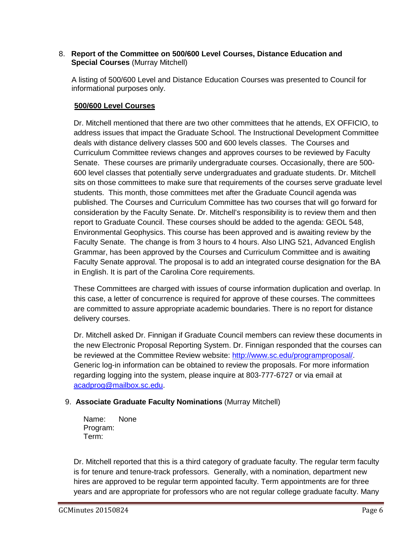### 8. **Report of the Committee on 500/600 Level Courses, Distance Education and Special Courses** (Murray Mitchell)

A listing of 500/600 Level and Distance Education Courses was presented to Council for informational purposes only.

# **500/600 Level Courses**

Dr. Mitchell mentioned that there are two other committees that he attends, EX OFFICIO, to address issues that impact the Graduate School. The Instructional Development Committee deals with distance delivery classes 500 and 600 levels classes. The Courses and Curriculum Committee reviews changes and approves courses to be reviewed by Faculty Senate. These courses are primarily undergraduate courses. Occasionally, there are 500- 600 level classes that potentially serve undergraduates and graduate students. Dr. Mitchell sits on those committees to make sure that requirements of the courses serve graduate level students. This month, those committees met after the Graduate Council agenda was published. The Courses and Curriculum Committee has two courses that will go forward for consideration by the Faculty Senate. Dr. Mitchell's responsibility is to review them and then report to Graduate Council. These courses should be added to the agenda: GEOL 548, Environmental Geophysics. This course has been approved and is awaiting review by the Faculty Senate. The change is from 3 hours to 4 hours. Also LING 521, Advanced English Grammar, has been approved by the Courses and Curriculum Committee and is awaiting Faculty Senate approval. The proposal is to add an integrated course designation for the BA in English. It is part of the Carolina Core requirements.

These Committees are charged with issues of course information duplication and overlap. In this case, a letter of concurrence is required for approve of these courses. The committees are committed to assure appropriate academic boundaries. There is no report for distance delivery courses.

Dr. Mitchell asked Dr. Finnigan if Graduate Council members can review these documents in the new Electronic Proposal Reporting System. Dr. Finnigan responded that the courses can be reviewed at the Committee Review website: [http://www.sc.edu/programproposal/.](http://www.sc.edu/programproposal/) Generic log-in information can be obtained to review the proposals. For more information regarding logging into the system, please inquire at 803-777-6727 or via email at [acadprog@mailbox.sc.edu.](mailto:acadprog@mailbox.sc.edu)

# 9. **Associate Graduate Faculty Nominations** (Murray Mitchell)

Name: None Program: Term:

Dr. Mitchell reported that this is a third category of graduate faculty. The regular term faculty is for tenure and tenure-track professors. Generally, with a nomination, department new hires are approved to be regular term appointed faculty. Term appointments are for three years and are appropriate for professors who are not regular college graduate faculty. Many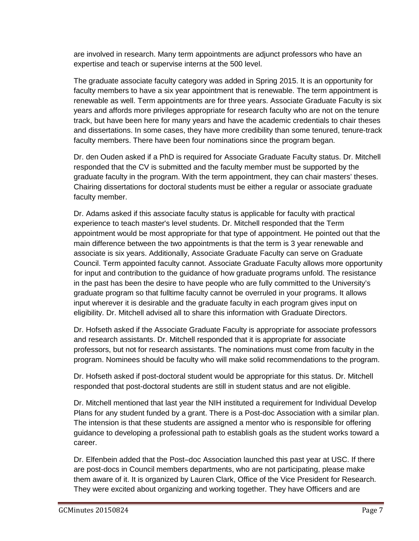are involved in research. Many term appointments are adjunct professors who have an expertise and teach or supervise interns at the 500 level.

The graduate associate faculty category was added in Spring 2015. It is an opportunity for faculty members to have a six year appointment that is renewable. The term appointment is renewable as well. Term appointments are for three years. Associate Graduate Faculty is six years and affords more privileges appropriate for research faculty who are not on the tenure track, but have been here for many years and have the academic credentials to chair theses and dissertations. In some cases, they have more credibility than some tenured, tenure-track faculty members. There have been four nominations since the program began.

Dr. den Ouden asked if a PhD is required for Associate Graduate Faculty status. Dr. Mitchell responded that the CV is submitted and the faculty member must be supported by the graduate faculty in the program. With the term appointment, they can chair masters' theses. Chairing dissertations for doctoral students must be either a regular or associate graduate faculty member.

Dr. Adams asked if this associate faculty status is applicable for faculty with practical experience to teach master's level students. Dr. Mitchell responded that the Term appointment would be most appropriate for that type of appointment. He pointed out that the main difference between the two appointments is that the term is 3 year renewable and associate is six years. Additionally, Associate Graduate Faculty can serve on Graduate Council. Term appointed faculty cannot. Associate Graduate Faculty allows more opportunity for input and contribution to the guidance of how graduate programs unfold. The resistance in the past has been the desire to have people who are fully committed to the University's graduate program so that fulltime faculty cannot be overruled in your programs. It allows input wherever it is desirable and the graduate faculty in each program gives input on eligibility. Dr. Mitchell advised all to share this information with Graduate Directors.

Dr. Hofseth asked if the Associate Graduate Faculty is appropriate for associate professors and research assistants. Dr. Mitchell responded that it is appropriate for associate professors, but not for research assistants. The nominations must come from faculty in the program. Nominees should be faculty who will make solid recommendations to the program.

Dr. Hofseth asked if post-doctoral student would be appropriate for this status. Dr. Mitchell responded that post-doctoral students are still in student status and are not eligible.

Dr. Mitchell mentioned that last year the NIH instituted a requirement for Individual Develop Plans for any student funded by a grant. There is a Post-doc Association with a similar plan. The intension is that these students are assigned a mentor who is responsible for offering guidance to developing a professional path to establish goals as the student works toward a career.

Dr. Elfenbein added that the Post–doc Association launched this past year at USC. If there are post-docs in Council members departments, who are not participating, please make them aware of it. It is organized by Lauren Clark, Office of the Vice President for Research. They were excited about organizing and working together. They have Officers and are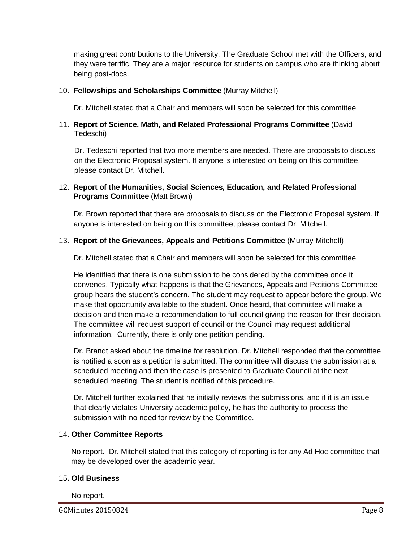making great contributions to the University. The Graduate School met with the Officers, and they were terrific. They are a major resource for students on campus who are thinking about being post-docs.

## 10. **Fellowships and Scholarships Committee** (Murray Mitchell)

Dr. Mitchell stated that a Chair and members will soon be selected for this committee.

## 11. **Report of Science, Math, and Related Professional Programs Committee** (David Tedeschi)

Dr. Tedeschi reported that two more members are needed. There are proposals to discuss on the Electronic Proposal system. If anyone is interested on being on this committee, please contact Dr. Mitchell.

## 12. **Report of the Humanities, Social Sciences, Education, and Related Professional Programs Committee** (Matt Brown)

Dr. Brown reported that there are proposals to discuss on the Electronic Proposal system. If anyone is interested on being on this committee, please contact Dr. Mitchell.

## 13. **Report of the Grievances, Appeals and Petitions Committee** (Murray Mitchell)

Dr. Mitchell stated that a Chair and members will soon be selected for this committee.

He identified that there is one submission to be considered by the committee once it convenes. Typically what happens is that the Grievances, Appeals and Petitions Committee group hears the student's concern. The student may request to appear before the group. We make that opportunity available to the student. Once heard, that committee will make a decision and then make a recommendation to full council giving the reason for their decision. The committee will request support of council or the Council may request additional information. Currently, there is only one petition pending.

Dr. Brandt asked about the timeline for resolution. Dr. Mitchell responded that the committee is notified a soon as a petition is submitted. The committee will discuss the submission at a scheduled meeting and then the case is presented to Graduate Council at the next scheduled meeting. The student is notified of this procedure.

Dr. Mitchell further explained that he initially reviews the submissions, and if it is an issue that clearly violates University academic policy, he has the authority to process the submission with no need for review by the Committee.

### 14. **Other Committee Reports**

No report. Dr. Mitchell stated that this category of reporting is for any Ad Hoc committee that may be developed over the academic year.

### 15**. Old Business**

No report.